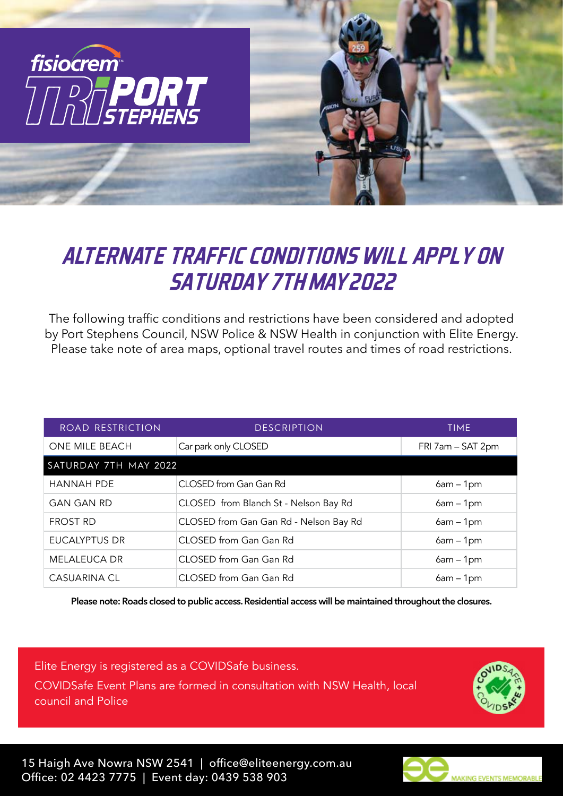

## *ALTERNATE TRAFFIC CONDITIONS WILL APPLY ON SATURDAY 7TH MAY 2022*

The following traffic conditions and restrictions have been considered and adopted by Port Stephens Council, NSW Police & NSW Health in conjunction with Elite Energy. Please take note of area maps, optional travel routes and times of road restrictions.

| ROAD RESTRICTION      | <b>DESCRIPTION</b>                     | <b>TIME</b>       |
|-----------------------|----------------------------------------|-------------------|
| ONE MILE BEACH        | Car park only CLOSED                   | FRI 7am - SAT 2pm |
| SATURDAY 7TH MAY 2022 |                                        |                   |
| <b>HANNAH PDE</b>     | CLOSED from Gan Gan Rd                 | $6am - 1pm$       |
| <b>GAN GAN RD</b>     | CLOSED from Blanch St - Nelson Bay Rd  | $6am - 1pm$       |
| <b>FROST RD</b>       | CLOSED from Gan Gan Rd - Nelson Bay Rd | $6am - 1pm$       |
| <b>EUCALYPTUS DR</b>  | CLOSED from Gan Gan Rd                 | $6am - 1pm$       |
| <b>MELALEUCA DR</b>   | CLOSED from Gan Gan Rd                 | $6am - 1pm$       |
| <b>CASUARINA CL</b>   | CLOSED from Gan Gan Rd                 | $6am - 1pm$       |

**Please note: Roads closed to public access. Residential access will be maintained throughout the closures.**

Elite Energy is registered as a COVIDSafe business. COVIDSafe Event Plans are formed in consultation with NSW Health, local council and Police